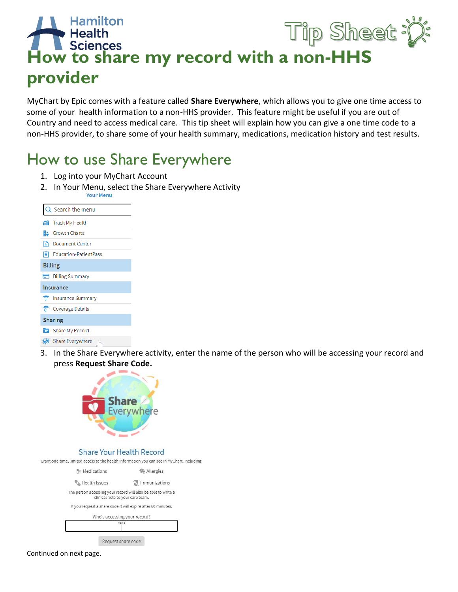## Tip Sheet **Health How to share my record with a non-HHS provider**

MyChart by Epic comes with a feature called **Share Everywhere**, which allows you to give one time access to some of your health information to a non-HHS provider. This feature might be useful if you are out of Country and need to access medical care. This tip sheet will explain how you can give a one time code to a non-HHS provider, to share some of your health summary, medications, medication history and test results.

## How to use Share Everywhere

- 1. Log into your MyChart Account
- 2. In Your Menu, select the Share Everywhere Activity

| Search the menu             |  |  |  |  |
|-----------------------------|--|--|--|--|
| <b>MI</b> Track My Health   |  |  |  |  |
| <b>E:</b> Growth Charts     |  |  |  |  |
| Document Center<br>ı∍       |  |  |  |  |
| Education-PatientPass       |  |  |  |  |
| <b>Billing</b>              |  |  |  |  |
| <b>Billing Summary</b>      |  |  |  |  |
| Insurance                   |  |  |  |  |
| Insurance Summary           |  |  |  |  |
| <b>The Coverage Details</b> |  |  |  |  |
| <b>Sharing</b>              |  |  |  |  |
| Share My Record             |  |  |  |  |
| Share Everywhere<br>∬հա     |  |  |  |  |

3. In the Share Everywhere activity, enter the name of the person who will be accessing your record and press **Request Share Code.**



## **Share Your Health Record**

Grant one-time, limited access to the health information you can see in MyChart, including:

| <b>Nedications</b> | <b>WA Allergies</b>                                                                               |  |  |  |
|--------------------|---------------------------------------------------------------------------------------------------|--|--|--|
| Health Issues      | inmunizations                                                                                     |  |  |  |
|                    | The person accessing your record will also be able to write a<br>clinical note to your care team. |  |  |  |
|                    | If you request a share code it will expire after 60 minutes.                                      |  |  |  |
|                    | Who's accessing your record?                                                                      |  |  |  |



Continued on next page.